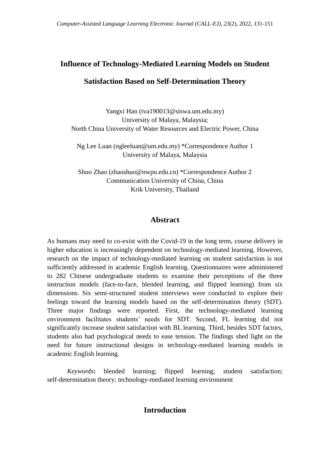# **Influence of Technology-Mediated Learning Models on Student Satisfaction Based on Self-Determination Theory**

Yangxi Han (tva190013@siswa.um.edu.my) University of Malaya, Malaysia; North China University of Water Resources and Electric Power, China

Ng Lee Luan (ngleeluan@um.edu.my) \*Correspondence Author 1 University of Malaya, Malaysia

Shuo Zhao (zhaoshuo@nwpu.edu.cn) \*Correspondence Author 2 Communication University of China, China Krik University, Thailand

# **Abstract**

As humans may need to co-exist with the Covid-19 in the long term, course delivery in higher education is increasingly dependent on technology-mediated learning. However, research on the impact of technology-mediated learning on student satisfaction is not sufficiently addressed in academic English learning. Questionnaires were administered to 282 Chinese undergraduate students to examine their perceptions of the three instruction models (face-to-face, blended learning, and flipped learning) from six dimensions. Six semi-structured student interviews were conducted to explore their feelings toward the learning models based on the self-determination theory (SDT). Three major findings were reported. First, the technology-mediated learning environment facilitates students' needs for SDT. Second, FL learning did not significantly increase student satisfaction with BL learning. Third, besides SDT factors, students also had psychological needs to ease tension. The findings shed light on the need for future instructional designs in technology-mediated learning models in academic English learning.

*Keywords***:** blended learning; flipped learning; student satisfaction; self-determination theory; technology-mediated learning environment

# **Introduction**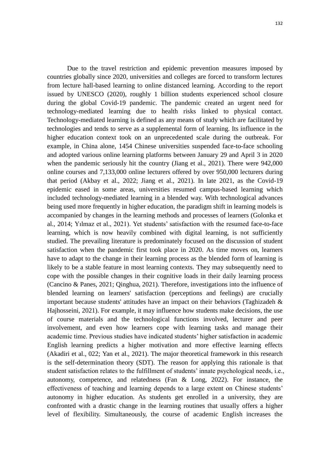Due to the travel restriction and epidemic prevention measures imposed by countries globally since 2020, universities and colleges are forced to transform lectures from lecture hall-based learning to online distanced learning. According to the report issued by UNESCO (2020), roughly 1 billion students experienced school closure during the global Covid-19 pandemic. The pandemic created an urgent need for technology-mediated learning due to health risks linked to physical contact. Technology-mediated learning is defined as any means of study which are facilitated by technologies and tends to serve as a supplemental form of learning. Its influence in the higher education context took on an unprecedented scale during the outbreak. For example, in China alone, 1454 Chinese universities suspended face-to-face schooling and adopted various online learning platforms between January 29 and April 3 in 2020 when the pandemic seriously hit the country (Jiang et al., 2021). There were 942,000 online courses and 7,133,000 online lecturers offered by over 950,000 lecturers during that period (Akbay et al., 2022; Jiang et al., 2021). In late 2021, as the Covid-19 epidemic eased in some areas, universities resumed campus-based learning which included technology-mediated learning in a blended way. With technological advances being used more frequently in higher education, the paradigm shift in learning models is accompanied by changes in the learning methods and processes of learners (Golonka et al., 2014; Yılmaz et al., 2021). Yet students' satisfaction with the resumed face-to-face learning, which is now heavily combined with digital learning, is not sufficiently studied. The prevailing literature is predominately focused on the discussion of student satisfaction when the pandemic first took place in 2020. As time moves on, learners have to adapt to the change in their learning process as the blended form of learning is likely to be a stable feature in most learning contexts. They may subsequently need to cope with the possible changes in their cognitive loads in their daily learning process (Cancino & Panes, 2021; Qinghua, 2021). Therefore, investigations into the influence of blended learning on learners' satisfaction (perceptions and feelings) are crucially important because students' attitudes have an impact on their behaviors (Taghizadeh  $\&$ Hajhosseini, 2021). For example, it may influence how students make decisions, the use of course materials and the technological functions involved, lecturer and peer involvement, and even how learners cope with learning tasks and manage their academic time. Previous studies have indicated students' higher satisfaction in academic English learning predicts a higher motivation and more effective learning effects (Akadiri et al., 022; Yan et al., 2021). The major theoretical framework in this research is the self-determination theory (SDT). The reason for applying this rationale is that student satisfaction relates to the fulfillment of students' innate psychological needs, i.e., autonomy, competence, and relatedness (Fan & Long, 2022). For instance, the effectiveness of teaching and learning depends to a large extent on Chinese students' autonomy in higher education. As students get enrolled in a university, they are confronted with a drastic change in the learning routines that usually offers a higher level of flexibility. Simultaneously, the course of academic English increases the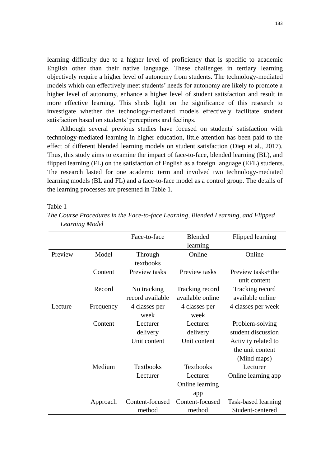learning difficulty due to a higher level of proficiency that is specific to academic English other than their native language. These challenges in tertiary learning objectively require a higher level of autonomy from students. The technology-mediated models which can effectively meet students' needs for autonomy are likely to promote a higher level of autonomy, enhance a higher level of student satisfaction and result in more effective learning. This sheds light on the significance of this research to investigate whether the technology-mediated models effectively facilitate student satisfaction based on students' perceptions and feelings.

Although several previous studies have focused on students' satisfaction with technology-mediated learning in higher education, little attention has been paid to the effect of different blended learning models on student satisfaction (Diep et al., 2017). Thus, this study aims to examine the impact of face-to-face, blended learning (BL), and flipped learning (FL) on the satisfaction of English as a foreign language (EFL) students. The research lasted for one academic term and involved two technology-mediated learning models (BL and FL) and a face-to-face model as a control group. The details of the learning processes are presented in Table 1.

Table 1

|         |           | Face-to-face     | <b>Blended</b>   | Flipped learning    |
|---------|-----------|------------------|------------------|---------------------|
|         |           |                  | learning         |                     |
| Preview | Model     | Through          | Online           | Online              |
|         |           | textbooks        |                  |                     |
|         | Content   | Preview tasks    | Preview tasks    | Preview tasks+the   |
|         |           |                  |                  | unit content        |
|         | Record    | No tracking      | Tracking record  | Tracking record     |
|         |           | record available | available online | available online    |
| Lecture | Frequency | 4 classes per    | 4 classes per    | 4 classes per week  |
|         |           | week             | week             |                     |
|         | Content   | Lecturer         | Lecturer         | Problem-solving     |
|         |           | delivery         | delivery         | student discussion  |
|         |           | Unit content     | Unit content     | Activity related to |
|         |           |                  |                  | the unit content    |
|         |           |                  |                  | (Mind maps)         |
|         | Medium    | <b>Textbooks</b> | <b>Textbooks</b> | Lecturer            |
|         |           | Lecturer         | Lecturer         | Online learning app |
|         |           |                  | Online learning  |                     |
|         |           |                  | app              |                     |
|         | Approach  | Content-focused  | Content-focused  | Task-based learning |
|         |           | method           | method           | Student-centered    |

*The Course Procedures in the Face-to-face Learning, Blended Learning, and Flipped Learning Model*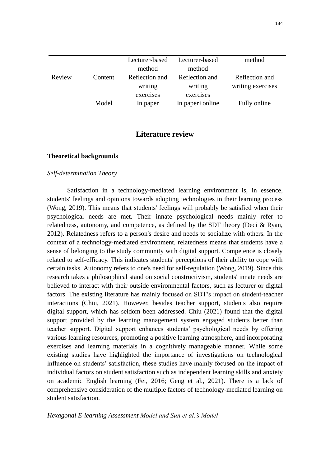|        |         | Lecturer-based | Lecturer-based  | method            |
|--------|---------|----------------|-----------------|-------------------|
|        |         | method         | method          |                   |
| Review | Content | Reflection and | Reflection and  | Reflection and    |
|        |         | writing        | writing         | writing exercises |
|        |         | exercises      | exercises       |                   |
|        | Model   | In paper       | In paper+online | Fully online      |
|        |         |                |                 |                   |

# **Literature review**

# **Theoretical backgrounds**

## *Self-determination Theory*

Satisfaction in a technology-mediated learning environment is, in essence, students' feelings and opinions towards adopting technologies in their learning process (Wong, 2019). This means that students' feelings will probably be satisfied when their psychological needs are met. Their innate psychological needs mainly refer to relatedness, autonomy, and competence, as defined by the SDT theory (Deci & Ryan, 2012). Relatedness refers to a person's desire and needs to socialize with others. In the context of a technology-mediated environment, relatedness means that students have a sense of belonging to the study community with digital support. Competence is closely related to self-efficacy. This indicates students' perceptions of their ability to cope with certain tasks. Autonomy refers to one's need for self-regulation (Wong, 2019). Since this research takes a philosophical stand on social constructivism, students' innate needs are believed to interact with their outside environmental factors, such as lecturer or digital factors. The existing literature has mainly focused on SDT's impact on student-teacher interactions (Chiu, 2021). However, besides teacher support, students also require digital support, which has seldom been addressed. Chiu (2021) found that the digital support provided by the learning management system engaged students better than teacher support. Digital support enhances students' psychological needs by offering various learning resources, promoting a positive learning atmosphere, and incorporating exercises and learning materials in a cognitively manageable manner. While some existing studies have highlighted the importance of investigations on technological influence on students' satisfaction, these studies have mainly focused on the impact of individual factors on student satisfaction such as independent learning skills and anxiety on academic English learning (Fei, 2016; Geng et al., 2021). There is a lack of comprehensive consideration of the multiple factors of technology-mediated learning on student satisfaction.

*Hexagonal E-learning Assessment Model and Sun et al.'s Model*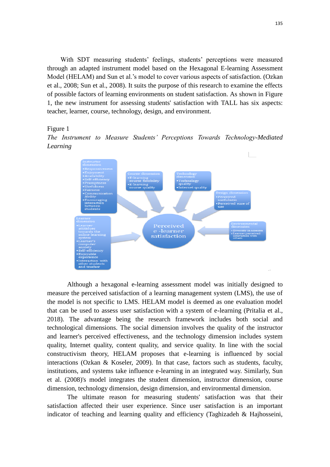With SDT measuring students' feelings, students' perceptions were measured through an adapted instrument model based on the Hexagonal E-learning Assessment Model (HELAM) and Sun et al.'s model to cover various aspects of satisfaction. (Ozkan et al., 2008; Sun et al., 2008). It suits the purpose of this research to examine the effects of possible factors of learning environments on student satisfaction. As shown in Figure 1, the new instrument for assessing students' satisfaction with TALL has six aspects: teacher, learner, course, technology, design, and environment.

Figure 1

*The Instrument to Measure Students' Perceptions Towards Technology-Mediated Learning*



Although a hexagonal e-learning assessment model was initially designed to measure the perceived satisfaction of a learning management system (LMS), the use of the model is not specific to LMS. HELAM model is deemed as one evaluation model that can be used to assess user satisfaction with a system of e-learning (Pritalia et al., 2018). The advantage being the research framework includes both social and technological dimensions. The social dimension involves the quality of the instructor and learner's perceived effectiveness, and the technology dimension includes system quality, Internet quality, content quality, and service quality. In line with the social constructivism theory, HELAM proposes that e-learning is influenced by social interactions (Ozkan  $\&$  Koseler, 2009). In that case, factors such as students, faculty, institutions, and systems take influence e-learning in an integrated way. Similarly, Sun et al. (2008)'s model integrates the student dimension, instructor dimension, course dimension, technology dimension, design dimension, and environmental dimension.

The ultimate reason for measuring students' satisfaction was that their satisfaction affected their user experience. Since user satisfaction is an important indicator of teaching and learning quality and efficiency (Taghizadeh & Hajhosseini,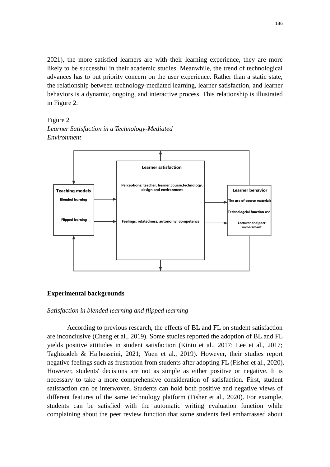2021), the more satisfied learners are with their learning experience, they are more likely to be successful in their academic studies. Meanwhile, the trend of technological advances has to put priority concern on the user experience. Rather than a static state, the relationship between technology-mediated learning, learner satisfaction, and learner behaviors is a dynamic, ongoing, and interactive process. This relationship is illustrated in Figure 2.

Figure 2 *Learner Satisfaction in a Technology-Mediated Environment*



### **Experimental backgrounds**

### *Satisfaction in blended learning and flipped learning*

According to previous research, the effects of BL and FL on student satisfaction are inconclusive (Cheng et al., 2019). Some studies reported the adoption of BL and FL yields positive attitudes in student satisfaction (Kintu et al., 2017; Lee et al., 2017; Taghizadeh & Hajhosseini, 2021; Yuen et al., 2019). However, their studies report negative feelings such as frustration from students after adopting FL (Fisher et al., 2020). However, students' decisions are not as simple as either positive or negative. It is necessary to take a more comprehensive consideration of satisfaction. First, student satisfaction can be interwoven. Students can hold both positive and negative views of different features of the same technology platform (Fisher et al., 2020). For example, students can be satisfied with the automatic writing evaluation function while complaining about the peer review function that some students feel embarrassed about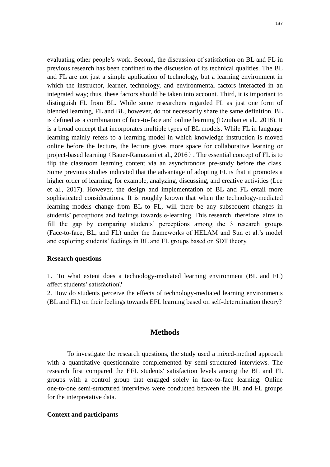evaluating other people's work. Second, the discussion of satisfaction on BL and FL in previous research has been confined to the discussion of its technical qualities. The BL and FL are not just a simple application of technology, but a learning environment in which the instructor, learner, technology, and environmental factors interacted in an integrated way; thus, these factors should be taken into account. Third, it is important to distinguish FL from BL. While some researchers regarded FL as just one form of blended learning, FL and BL, however, do not necessarily share the same definition. BL is defined as a combination of face-to-face and online learning (Dziuban et al., 2018). It is a broad concept that incorporates multiple types of BL models. While FL in language learning mainly refers to a learning model in which knowledge instruction is moved online before the lecture, the lecture gives more space for collaborative learning or project-based learning (Bauer-Ramazani et al., 2016). The essential concept of FL is to flip the classroom learning content via an asynchronous pre-study before the class. Some previous studies indicated that the advantage of adopting FL is that it promotes a higher order of learning, for example, analyzing, discussing, and creative activities (Lee et al., 2017). However, the design and implementation of BL and FL entail more sophisticated considerations. It is roughly known that when the technology-mediated learning models change from BL to FL, will there be any subsequent changes in students' perceptions and feelings towards e-learning. This research, therefore, aims to fill the gap by comparing students' perceptions among the 3 research groups (Face-to-face, BL, and FL) under the frameworks of HELAM and Sun et al.'s model and exploring students' feelings in BL and FL groups based on SDT theory.

### **Research questions**

1. To what extent does a technology-mediated learning environment (BL and FL) affect students' satisfaction?

2. How do students perceive the effects of technology-mediated learning environments (BL and FL) on their feelings towards EFL learning based on self-determination theory?

# **Methods**

To investigate the research questions, the study used a mixed-method approach with a quantitative questionnaire complemented by semi-structured interviews. The research first compared the EFL students' satisfaction levels among the BL and FL groups with a control group that engaged solely in face-to-face learning. Online one-to-one semi-structured interviews were conducted between the BL and FL groups for the interpretative data.

### **Context and participants**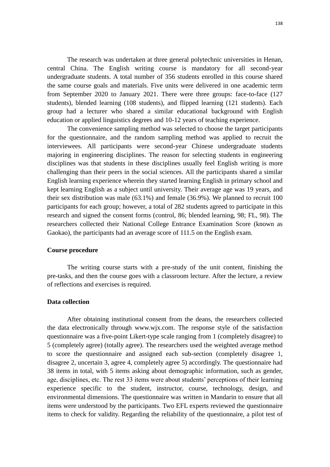The research was undertaken at three general polytechnic universities in Henan, central China. The English writing course is mandatory for all second-year undergraduate students. A total number of 356 students enrolled in this course shared the same course goals and materials. Five units were delivered in one academic term from September 2020 to January 2021. There were three groups: face-to-face (127 students), blended learning (108 students), and flipped learning (121 students). Each group had a lecturer who shared a similar educational background with English education or applied linguistics degrees and 10-12 years of teaching experience.

The convenience sampling method was selected to choose the target participants for the questionnaire, and the random sampling method was applied to recruit the interviewees. All participants were second-year Chinese undergraduate students majoring in engineering disciplines. The reason for selecting students in engineering disciplines was that students in these disciplines usually feel English writing is more challenging than their peers in the social sciences. All the participants shared a similar English learning experience wherein they started learning English in primary school and kept learning English as a subject until university. Their average age was 19 years, and their sex distribution was male (63.1%) and female (36.9%). We planned to recruit 100 participants for each group; however, a total of 282 students agreed to participate in this research and signed the consent forms (control, 86; blended learning, 98; FL, 98). The researchers collected their National College Entrance Examination Score (known as Gaokao), the participants had an average score of 111.5 on the English exam.

#### **Course procedure**

The writing course starts with a pre-study of the unit content, finishing the pre-tasks, and then the course goes with a classroom lecture. After the lecture, a review of reflections and exercises is required.

### **Data collection**

After obtaining institutional consent from the deans, the researchers collected the data electronically through www.wjx.com. The response style of the satisfaction questionnaire was a five-point Likert-type scale ranging from 1 (completely disagree) to 5 (completely agree) (totally agree). The researchers used the weighted average method to score the questionnaire and assigned each sub-section (completely disagree 1, disagree 2, uncertain 3, agree 4, completely agree 5) accordingly. The questionnaire had 38 items in total, with 5 items asking about demographic information, such as gender, age, disciplines, etc. The rest 33 items were about students' perceptions of their learning experience specific to the student, instructor, course, technology, design, and environmental dimensions. The questionnaire was written in Mandarin to ensure that all items were understood by the participants. Two EFL experts reviewed the questionnaire items to check for validity. Regarding the reliability of the questionnaire, a pilot test of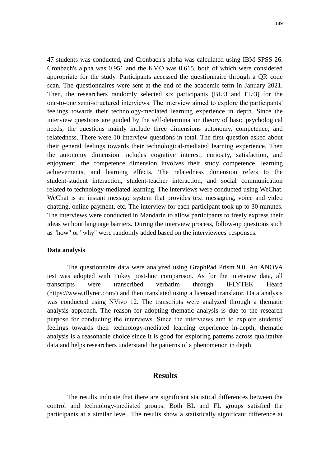47 students was conducted, and Cronbach's alpha was calculated using IBM SPSS 26. Cronbach's alpha was 0.951 and the KMO was 0.615, both of which were considered appropriate for the study. Participants accessed the questionnaire through a QR code scan. The questionnaires were sent at the end of the academic term in January 2021. Then, the researchers randomly selected six participants (BL:3 and FL:3) for the one-to-one semi-structured interviews. The interview aimed to explore the participants' feelings towards their technology-mediated learning experience in depth. Since the interview questions are guided by the self-determination theory of basic psychological needs, the questions mainly include three dimensions autonomy, competence, and relatedness. There were 10 interview questions in total. The first question asked about their general feelings towards their technological-mediated learning experience. Then the autonomy dimension includes cognitive interest, curiosity, satisfaction, and enjoyment, the competence dimension involves their study competence, learning achievements, and learning effects. The relatedness dimension refers to the student-student interaction, student-teacher interaction, and social communication related to technology-mediated learning. The interviews were conducted using WeChat. WeChat is an instant message system that provides text messaging, voice and video chatting, online payment, etc. The interview for each participant took up to 30 minutes. The interviews were conducted in Mandarin to allow participants to freely express their ideas without language barriers. During the interview process, follow-up questions such as "how" or "why" were randomly added based on the interviewees' responses.

#### **Data analysis**

The questionnaire data were analyzed using GraphPad Prism 9.0. An ANOVA test was adopted with Tukey post-hoc comparison. As for the interview data, all transcripts were transcribed verbatim through IFLYTEK Heard (https://www.iflyrec.com/) and then translated using a licensed translator. Data analysis was conducted using NVivo 12. The transcripts were analyzed through a thematic analysis approach. The reason for adopting thematic analysis is due to the research purpose for conducting the interviews. Since the interviews aim to explore students' feelings towards their technology-mediated learning experience in-depth, thematic analysis is a reasonable choice since it is good for exploring patterns across qualitative data and helps researchers understand the patterns of a phenomenon in depth.

# **Results**

The results indicate that there are significant statistical differences between the control and technology-mediated groups. Both BL and FL groups satisfied the participants at a similar level. The results show a statistically significant difference at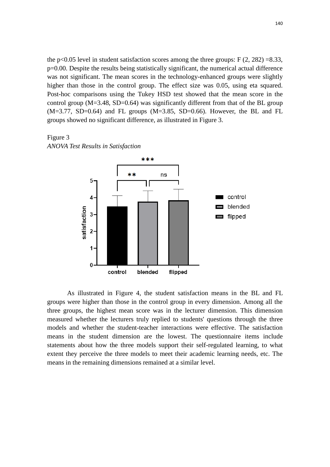the p<0.05 level in student satisfaction scores among the three groups:  $F(2, 282) = 8.33$ , p=0.00. Despite the results being statistically significant, the numerical actual difference was not significant. The mean scores in the technology-enhanced groups were slightly higher than those in the control group. The effect size was 0.05, using eta squared. Post-hoc comparisons using the Tukey HSD test showed that the mean score in the control group  $(M=3.48, SD=0.64)$  was significantly different from that of the BL group  $(M=3.77, SD=0.64)$  and FL groups  $(M=3.85, SD=0.66)$ . However, the BL and FL groups showed no significant difference, as illustrated in Figure 3.

Figure 3 *ANOVA Test Results in Satisfaction*



As illustrated in Figure 4, the student satisfaction means in the BL and FL groups were higher than those in the control group in every dimension. Among all the three groups, the highest mean score was in the lecturer dimension. This dimension measured whether the lecturers truly replied to students' questions through the three models and whether the student-teacher interactions were effective. The satisfaction means in the student dimension are the lowest. The questionnaire items include statements about how the three models support their self-regulated learning, to what extent they perceive the three models to meet their academic learning needs, etc. The means in the remaining dimensions remained at a similar level.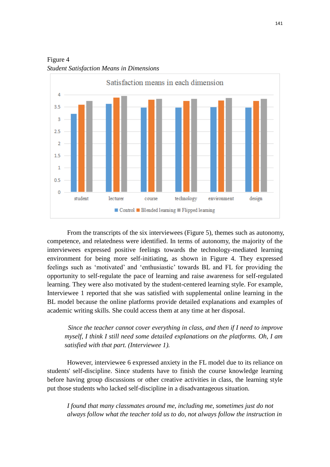

Figure 4 *Student Satisfaction Means in Dimensions*

From the transcripts of the six interviewees (Figure 5), themes such as autonomy, competence, and relatedness were identified. In terms of autonomy, the majority of the interviewees expressed positive feelings towards the technology-mediated learning environment for being more self-initiating, as shown in Figure 4. They expressed feelings such as 'motivated' and 'enthusiastic' towards BL and FL for providing the opportunity to self-regulate the pace of learning and raise awareness for self-regulated learning. They were also motivated by the student-centered learning style. For example, Interviewee 1 reported that she was satisfied with supplemental online learning in the BL model because the online platforms provide detailed explanations and examples of academic writing skills. She could access them at any time at her disposal.

*Since the teacher cannot cover everything in class, and then if I need to improve myself, I think I still need some detailed explanations on the platforms. Oh, I am satisfied with that part. (Interviewee 1).*

However, interviewee 6 expressed anxiety in the FL model due to its reliance on students' self-discipline. Since students have to finish the course knowledge learning before having group discussions or other creative activities in class, the learning style put those students who lacked self-discipline in a disadvantageous situation.

*I found that many classmates around me, including me, sometimes just do not always follow what the teacher told us to do, not always follow the instruction in*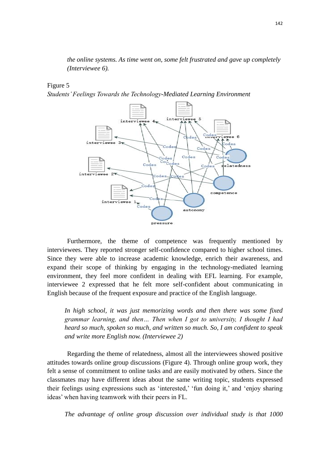*the online systems. As time went on, some felt frustrated and gave up completely (Interviewee 6).*

### Figure 5

*Students' Feelings Towards the Technology-Mediated Learning Environment*



Furthermore, the theme of competence was frequently mentioned by interviewees. They reported stronger self-confidence compared to higher school times. Since they were able to increase academic knowledge, enrich their awareness, and expand their scope of thinking by engaging in the technology-mediated learning environment, they feel more confident in dealing with EFL learning. For example, interviewee 2 expressed that he felt more self-confident about communicating in English because of the frequent exposure and practice of the English language.

*In high school, it was just memorizing words and then there was some fixed grammar learning, and then… Then when I got to university, I thought I had heard so much, spoken so much, and written so much. So, I am confident to speak and write more English now. (Interviewee 2)*

Regarding the theme of relatedness, almost all the interviewees showed positive attitudes towards online group discussions (Figure 4). Through online group work, they felt a sense of commitment to online tasks and are easily motivated by others. Since the classmates may have different ideas about the same writing topic, students expressed their feelings using expressions such as 'interested,' 'fun doing it,' and 'enjoy sharing ideas' when having teamwork with their peers in FL.

*The advantage of online group discussion over individual study is that 1000*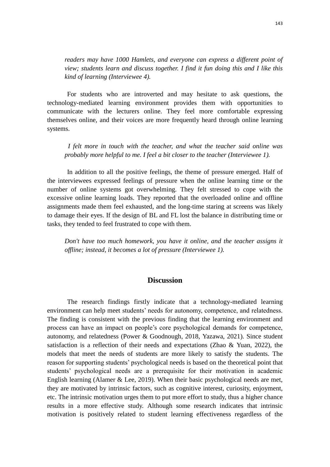*readers may have 1000 Hamlets, and everyone can express a different point of view; students learn and discuss together. I find it fun doing this and I like this kind of learning (Interviewee 4).*

For students who are introverted and may hesitate to ask questions, the technology-mediated learning environment provides them with opportunities to communicate with the lecturers online. They feel more comfortable expressing themselves online, and their voices are more frequently heard through online learning systems.

*I felt more in touch with the teacher, and what the teacher said online was probably more helpful to me. I feel a bit closer to the teacher (Interviewee 1).*

In addition to all the positive feelings, the theme of pressure emerged. Half of the interviewees expressed feelings of pressure when the online learning time or the number of online systems got overwhelming. They felt stressed to cope with the excessive online learning loads. They reported that the overloaded online and offline assignments made them feel exhausted, and the long-time staring at screens was likely to damage their eyes. If the design of BL and FL lost the balance in distributing time or tasks, they tended to feel frustrated to cope with them.

*Don't have too much homework, you have it online, and the teacher assigns it offline; instead, it becomes a lot of pressure (Interviewee 1).*

# **Discussion**

The research findings firstly indicate that a technology-mediated learning environment can help meet students' needs for autonomy, competence, and relatedness. The finding is consistent with the previous finding that the learning environment and process can have an impact on people's core psychological demands for competence, autonomy, and relatedness (Power & Goodnough, 2018, Yazawa, 2021). Since student satisfaction is a reflection of their needs and expectations (Zhao & Yuan, 2022), the models that meet the needs of students are more likely to satisfy the students. The reason for supporting students' psychological needs is based on the theoretical point that students' psychological needs are a prerequisite for their motivation in academic English learning (Alamer & Lee, 2019). When their basic psychological needs are met, they are motivated by intrinsic factors, such as cognitive interest, curiosity, enjoyment, etc. The intrinsic motivation urges them to put more effort to study, thus a higher chance results in a more effective study. Although some research indicates that intrinsic motivation is positively related to student learning effectiveness regardless of the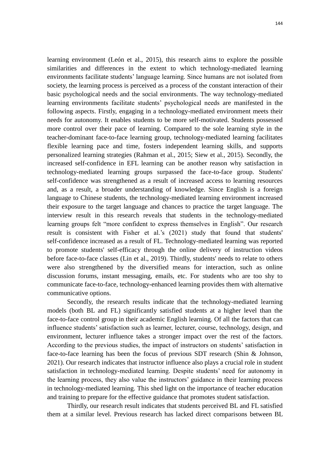learning environment (León et al., 2015), this research aims to explore the possible similarities and differences in the extent to which technology-mediated learning environments facilitate students' language learning. Since humans are not isolated from society, the learning process is perceived as a process of the constant interaction of their basic psychological needs and the social environments. The way technology-mediated learning environments facilitate students' psychological needs are manifested in the following aspects. Firstly, engaging in a technology-mediated environment meets their needs for autonomy. It enables students to be more self-motivated. Students possessed more control over their pace of learning. Compared to the sole learning style in the teacher-dominant face-to-face learning group, technology-mediated learning facilitates flexible learning pace and time, fosters independent learning skills, and supports personalized learning strategies (Rahman et al., 2015; Siew et al., 2015). Secondly, the increased self-confidence in EFL learning can be another reason why satisfaction in technology-mediated learning groups surpassed the face-to-face group. Students' self-confidence was strengthened as a result of increased access to learning resources and, as a result, a broader understanding of knowledge. Since English is a foreign language to Chinese students, the technology-mediated learning environment increased their exposure to the target language and chances to practice the target language. The interview result in this research reveals that students in the technology-mediated learning groups felt "more confident to express themselves in English". Our research result is consistent with Fisher et al.'s (2021) study that found that students' self-confidence increased as a result of FL. Technology-mediated learning was reported to promote students' self-efficacy through the online delivery of instruction videos before face-to-face classes (Lin et al., 2019). Thirdly, students' needs to relate to others were also strengthened by the diversified means for interaction, such as online discussion forums, instant messaging, emails, etc. For students who are too shy to communicate face-to-face, technology-enhanced learning provides them with alternative communicative options.

Secondly, the research results indicate that the technology-mediated learning models (both BL and FL) significantly satisfied students at a higher level than the face-to-face control group in their academic English learning. Of all the factors that can influence students' satisfaction such as learner, lecturer, course, technology, design, and environment, lecturer influence takes a stronger impact over the rest of the factors. According to the previous studies, the impact of instructors on students' satisfaction in face-to-face learning has been the focus of previous SDT research (Shin & Johnson, 2021). Our research indicates that instructor influence also plays a crucial role in student satisfaction in technology-mediated learning. Despite students' need for autonomy in the learning process, they also value the instructors' guidance in their learning process in technology-mediated learning. This shed light on the importance of teacher education and training to prepare for the effective guidance that promotes student satisfaction.

Thirdly, our research result indicates that students perceived BL and FL satisfied them at a similar level. Previous research has lacked direct comparisons between BL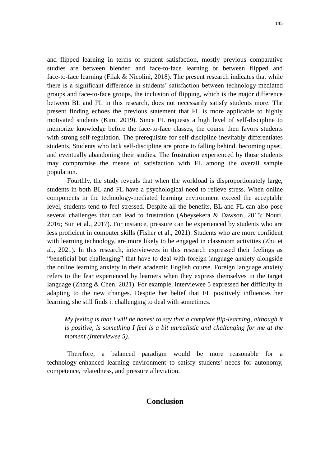and flipped learning in terms of student satisfaction, mostly previous comparative studies are between blended and face-to-face learning or between flipped and face-to-face learning (Filak & Nicolini, 2018). The present research indicates that while there is a significant difference in students' satisfaction between technology-mediated groups and face-to-face groups, the inclusion of flipping, which is the major difference between BL and FL in this research, does not necessarily satisfy students more. The present finding echoes the previous statement that FL is more applicable to highly motivated students (Kim, 2019). Since FL requests a high level of self-discipline to memorize knowledge before the face-to-face classes, the course then favors students with strong self-regulation. The prerequisite for self-discipline inevitably differentiates students. Students who lack self-discipline are prone to falling behind, becoming upset, and eventually abandoning their studies. The frustration experienced by those students may compromise the means of satisfaction with FL among the overall sample population.

Fourthly, the study reveals that when the workload is disproportionately large, students in both BL and FL have a psychological need to relieve stress. When online components in the technology-mediated learning environment exceed the acceptable level, students tend to feel stressed. Despite all the benefits, BL and FL can also pose several challenges that can lead to frustration (Abeysekera & Dawson, 2015; Nouri, 2016; Sun et al., 2017). For instance, pressure can be experienced by students who are less proficient in computer skills (Fisher et al., 2021). Students who are more confident with learning technology, are more likely to be engaged in classroom activities (Zhu et al., 2021). In this research, interviewees in this research expressed their feelings as "beneficial but challenging" that have to deal with foreign language anxiety alongside the online learning anxiety in their academic English course. Foreign language anxiety refers to the fear experienced by learners when they express themselves in the target language (Zhang & Chen, 2021). For example, interviewee 5 expressed her difficulty in adapting to the new changes. Despite her belief that FL positively influences her learning, she still finds it challenging to deal with sometimes.

*My feeling is that I will be honest to say that a complete flip-learning, although it is positive, is something I feel is a bit unrealistic and challenging for me at the moment (Interviewee 5).*

Therefore, a balanced paradigm would be more reasonable for a technology-enhanced learning environment to satisfy students' needs for autonomy, competence, relatedness, and pressure alleviation.

# **Conclusion**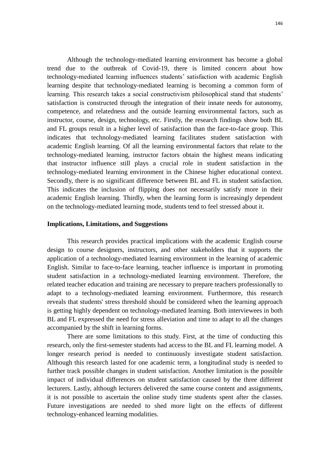Although the technology-mediated learning environment has become a global trend due to the outbreak of Covid-19, there is limited concern about how technology-mediated learning influences students' satisfaction with academic English learning despite that technology-mediated learning is becoming a common form of learning. This research takes a social constructivism philosophical stand that students' satisfaction is constructed through the integration of their innate needs for autonomy, competence, and relatedness and the outside learning environmental factors, such as instructor, course, design, technology, etc. Firstly, the research findings show both BL and FL groups result in a higher level of satisfaction than the face-to-face group. This indicates that technology-mediated learning facilitates student satisfaction with academic English learning. Of all the learning environmental factors that relate to the technology-mediated learning, instructor factors obtain the highest means indicating that instructor influence still plays a crucial role in student satisfaction in the technology-mediated learning environment in the Chinese higher educational context. Secondly, there is no significant difference between BL and FL in student satisfaction. This indicates the inclusion of flipping does not necessarily satisfy more in their academic English learning. Thirdly, when the learning form is increasingly dependent on the technology-mediated learning mode, students tend to feel stressed about it.

#### **Implications, Limitations, and Suggestions**

This research provides practical implications with the academic English course design to course designers, instructors, and other stakeholders that it supports the application of a technology-mediated learning environment in the learning of academic English. Similar to face-to-face learning, teacher influence is important in promoting student satisfaction in a technology-mediated learning environment. Therefore, the related teacher education and training are necessary to prepare teachers professionally to adapt to a technology-mediated learning environment. Furthermore, this research reveals that students' stress threshold should be considered when the learning approach is getting highly dependent on technology-mediated learning. Both interviewees in both BL and FL expressed the need for stress alleviation and time to adapt to all the changes accompanied by the shift in learning forms.

There are some limitations to this study. First, at the time of conducting this research, only the first-semester students had access to the BL and FL learning model. A longer research period is needed to continuously investigate student satisfaction. Although this research lasted for one academic term, a longitudinal study is needed to further track possible changes in student satisfaction. Another limitation is the possible impact of individual differences on student satisfaction caused by the three different lecturers. Lastly, although lecturers delivered the same course content and assignments, it is not possible to ascertain the online study time students spent after the classes. Future investigations are needed to shed more light on the effects of different technology-enhanced learning modalities.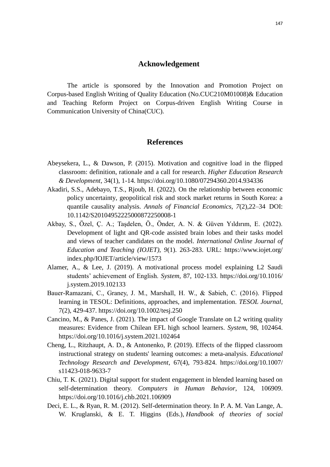# **Acknowledgement**

The article is sponsored by the Innovation and Promotion Project on Corpus-based English Writing of Quality Education (No.CUC210M01008)& Education and Teaching Reform Project on Corpus-driven English Writing Course in Communication University of China(CUC).

## **References**

- Abeysekera, L., & Dawson, P. (2015). Motivation and cognitive load in the flipped classroom: definition, rationale and a call for research. *Higher Education Research & Development*, 34(1), 1-14.<https://doi.org/10.1080/07294360.2014.934336>
- Akadiri, S.S., Adebayo, T.S., Rjoub, H. (2022). On the relationship between economic policy uncertainty, geopolitical risk and stock market returns in South Korea: a quantile causality analysis. *Annals of Financial Economics, 7*(2),22–34 DOI: 10.1142/S20104952225000872250008-1
- Akbay, S., Özel, Ç. A.; Taşdelen, Ö., Önder, A. N. & Güven Yıldırım, E. (2022). Development of light and QR-code assisted brain lobes and their tasks model and views of teacher candidates on the model. *International Online Journal of Education and Teaching (IOJET), 9*(1). 263-283. URL: https://www.iojet.org/ index.php/IOJET/article/view/1573
- Alamer, A., & Lee, J. (2019). A motivational process model explaining L2 Saudi students' achievement of English. *System,* 87, 102-133. https://doi.org/10.1016/ j.system.2019.102133
- Bauer‐Ramazani, C., Graney, J. M., Marshall, H. W., & Sabieh, C. (2016). Flipped learning in TESOL: Definitions, approaches, and implementation. *TESOL Journal*, 7(2), 429-437. <https://doi.org/10.1002/tesj.250>
- Cancino, M., & Panes, J. (2021). The impact of Google Translate on L2 writing quality measures: Evidence from Chilean EFL high school learners. *System*, 98, 102464. <https://doi.org/10.1016/j.system.2021.102464>
- Cheng, L., Ritzhaupt, A. D., & Antonenko, P. (2019). Effects of the flipped classroom instructional strategy on students' learning outcomes: a meta-analysis. *Educational Technology Research and Development*, 67(4), 793-824. https://doi.org/10.1007/ s11423-018-9633-7
- Chiu, T. K. (2021). Digital support for student engagement in blended learning based on self-determination theory. *Computers in Human Behavior*, 124, 106909. <https://doi.org/10.1016/j.chb.2021.106909>
- Deci, E. L., & Ryan, R. M. (2012). Self-determination theory. In P. A. M. Van Lange, A. W. Kruglanski, & E. T. Higgins (Eds.), *Handbook of theories of social*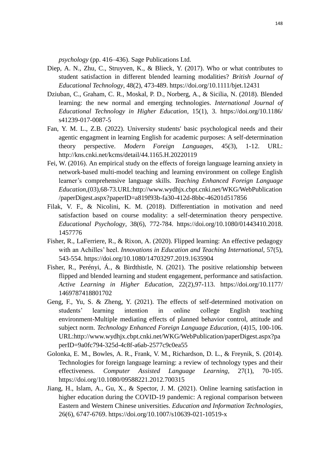*psychology* (pp. 416–436). Sage Publications Ltd.

- Diep, A. N., Zhu, C., Struyven, K., & Blieck, Y. (2017). Who or what contributes to student satisfaction in different blended learning modalities? *British Journal of Educational Technology*, 48(2), 473-489.<https://doi.org/10.1111/bjet.12431>
- Dziuban, C., Graham, C. R., Moskal, P. D., Norberg, A., & Sicilia, N. (2018). Blended learning: the new normal and emerging technologies. *International Journal of Educational Technology in Higher Education*, 15(1), 3. https://doi.org/10.1186/ s41239-017-0087-5
- Fan, Y. M. L., Z.B. (2022). University students' basic psychological needs and their agentic engagment in learning English for academic purposes: A self-determination theory perspective. *Modern Foreign Languages*, 45(3), 1-12. URL: http://kns.cnki.net/kcms/detail/44.1165.H.20220119
- Fei, W. (2016). An empirical study on the effects of foreign language learning anxiety in network-based multi-model teaching and learning environment on college English learner's comprehensive language skills. *Teaching Enhanced Foreign Language Education*,(03),68-73.URL:http://www.wydhjx.cbpt.cnki.net/WKG/WebPublication /paperDigest.aspx?paperID=a819f93b-fa30-412d-8bbc-46201d517856
- Filak, V. F., & Nicolini, K. M. (2018). Differentiation in motivation and need satisfaction based on course modality: a self-determination theory perspective. *Educational Psychology*, 38(6), 772-784. https://doi.org/10.1080/01443410.2018. 1457776
- Fisher, R., LaFerriere, R., & Rixon, A. (2020). Flipped learning: An effective pedagogy with an Achilles' heel. *Innovations in Education and Teaching International,* 57(5), 543-554.<https://doi.org/10.1080/14703297.2019.1635904>
- Fisher, R., Perényi, Á., & Birdthistle, N. (2021). The positive relationship between flipped and blended learning and student engagement, performance and satisfaction. *Active Learning in Higher Education*, 22(2),97-113. https://doi.org/10.1177/ 1469787418801702
- Geng, F., Yu, S. & Zheng, Y. (2021). The effects of self-determined motivation on students' learning intention in online college English teaching environment-Multiple mediating effects of planned behavior control, attitude and subject norm. *Technology Enhanced Foreign Language Education*, (4)15, 100-106. URL:http://www.wydhjx.cbpt.cnki.net/WKG/WebPublication/paperDigest.aspx?pa perID=9a0fc794-325d-4c8f-a6ab-2577c9c0ea55
- Golonka, E. M., Bowles, A. R., Frank, V. M., Richardson, D. L., & Freynik, S. (2014). Technologies for foreign language learning: a review of technology types and their effectiveness. *Computer Assisted Language Learning*, 27(1), 70-105. https://doi.org/10.1080/09588221.2012.700315
- Jiang, H., Islam, A., Gu, X., & Spector, J. M. (2021). Online learning satisfaction in higher education during the COVID-19 pandemic: A regional comparison between Eastern and Western Chinese universities. *Education and Information Technologies*, 26(6), 6747-6769. https://doi.org/10.1007/s10639-021-10519-x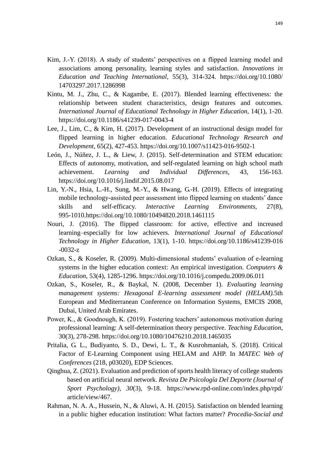- Kim, J.-Y. (2018). A study of students' perspectives on a flipped learning model and associations among personality, learning styles and satisfaction. *Innovations in Education and Teaching International*, 55(3), 314-324. https://doi.org/10.1080/ 14703297.2017.1286998
- Kintu, M. J., Zhu, C., & Kagambe, E. (2017). Blended learning effectiveness: the relationship between student characteristics, design features and outcomes. *International Journal of Educational Technology in Higher Education*, 14(1), 1-20. https://doi.org/10.1186/s41239-017-0043-4
- Lee, J., Lim, C., & Kim, H. (2017). Development of an instructional design model for flipped learning in higher education. *Educational Technology Research and Development*, 65(2), 427-453. https://doi.org/10.1007/s11423-016-9502-1
- León, J., Núñez, J. L., & Liew, J. (2015). Self-determination and STEM education: Effects of autonomy, motivation, and self-regulated learning on high school math achievement. *Learning and Individual Differences*, 43, 156-163. https://doi.org/10.1016/j.lindif.2015.08.017
- Lin, Y.-N., Hsia, L.-H., Sung, M.-Y., & Hwang, G.-H. (2019). Effects of integrating mobile technology-assisted peer assessment into flipped learning on students' dance skills and self-efficacy. *Interactive Learning Environments*, 27(8), 995-1010[.https://doi.org/10.1080/10494820.2018.1461115](https://doi.org/10.1080/10494820.2018.1461115)
- Nouri, J. (2016). The flipped classroom: for active, effective and increased learning–especially for low achievers. *International Journal of Educational Technology in Higher Education*, 13(1), 1-10. https://doi.org/10.1186/s41239-016 -0032-z
- Ozkan, S., & Koseler, R. (2009). Multi-dimensional students' evaluation of e-learning systems in the higher education context: An empirical investigation. *Computers & Education*, 53(4), 1285-1296. <https://doi.org/10.1016/j.compedu.2009.06.011>
- Ozkan, S., Koseler, R., & Baykal, N. (2008, December 1). *Evaluating learning management systems: Hexagonal E-learning assessment model (HELAM).*5th European and Mediterranean Conference on Information Systems, EMCIS 2008, Dubai, United Arab Emirates.
- Power, K., & Goodnough, K. (2019). Fostering teachers' autonomous motivation during professional learning: A self-determination theory perspective. *Teaching Education*, 30(3), 278-298. <https://doi.org/10.1080/10476210.2018.1465035>
- Pritalia, G. L., Budiyanto, S. D., Dewi, L. T., & Kusrohmaniah, S. (2018). Critical Factor of E-Learning Component using HELAM and AHP. In *MATEC Web of Conferences* (218, p03020), EDP Sciences.
- Qinghua, Z. (2021). Evaluation and prediction of sports health literacy of college students based on artificial neural network. *Revista De Psicología Del Deporte (Journal of Sport Psychology)*, *30*(3), 9-18. https://www.rpd-online.com/index.php/rpd/ article/view/467.
- Rahman, N. A. A., Hussein, N., & Aluwi, A. H. (2015). Satisfaction on blended learning in a public higher education institution: What factors matter? *Procedia-Social and*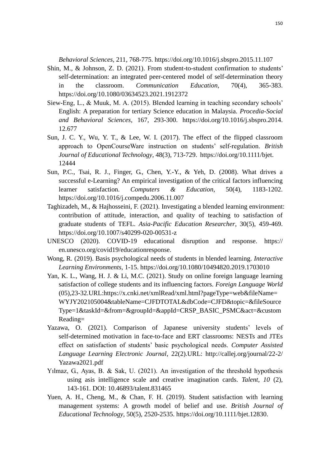*Behavioral Sciences,* 211, 768-775.<https://doi.org/10.1016/j.sbspro.2015.11.107>

- Shin, M., & Johnson, Z. D. (2021). From student-to-student confirmation to students' self-determination: an integrated peer-centered model of self-determination theory in the classroom. *Communication Education,* 70(4), 365-383. https://doi.org/10.1080/03634523.2021.1912372
- Siew-Eng, L., & Muuk, M. A. (2015). Blended learning in teaching secondary schools' English: A preparation for tertiary Science education in Malaysia. *Procedia-Social and Behavioral Sciences*, 167, 293-300. https://doi.org/10.1016/j.sbspro.2014. 12.677
- Sun, J. C. Y., Wu, Y. T., & Lee, W. I. (2017). The effect of the flipped classroom approach to OpenCourseWare instruction on students' self‐regulation. *British Journal of Educational Technology*, 48(3), 713-729. https://doi.org/10.1111/bjet. 12444
- Sun, P.C., Tsai, R. J., Finger, G., Chen, Y.-Y., & Yeh, D. (2008). What drives a successful e-Learning? An empirical investigation of the critical factors influencing learner satisfaction. *Computers & Education*, 50(4), 1183-1202. <https://doi.org/10.1016/j.compedu.2006.11.007>
- Taghizadeh, M., & Hajhosseini, F. (2021). Investigating a blended learning environment: contribution of attitude, interaction, and quality of teaching to satisfaction of graduate students of TEFL. *Asia-Pacific Education Researcher*, 30(5), 459-469. https://doi.org/10.1007/s40299-020-00531-z
- UNESCO (2020). COVID-19 educational disruption and response. https:// en.unesco.org/covid19/educationresponse.
- Wong, R. (2019). Basis psychological needs of students in blended learning. *Interactive Learning Environments*, 1-15.<https://doi.org/10.1080/10494820.2019.1703010>
- Yan, K. L., Wang, H. J. & Li, M.C. (2021). Study on online foreign language learning satisfaction of college students and its influencing factors. *Foreign Language World*  (05),23-32.URL:https://x.cnki.net/xmlRead/xml.html?pageType=web&fileName= WYJY202105004&tableName=CJFDTOTAL&dbCode=CJFD&topic=&fileSource Type=1&taskId=&from=&groupId=&appId=CRSP\_BASIC\_PSMC&act=&custom Reading=
- Yazawa, O. (2021). Comparison of Japanese university students' levels of self-determined motivation in face-to-face and ERT classrooms: NESTs and JTEs effect on satisfaction of students' basic psychological needs. *Computer Assisted Language Learning Electronic Journal*, 22(2).URL: http://callej.org/journal/22-2/ Yazawa2021.pdf
- Yılmaz, G., Ayas, B. & Sak, U. (2021). An investigation of the threshold hypothesis using asis intelligence scale and creative imagination cards. *Talent, 10* (2), 143-161. DOI: 10.46893/talent.831465
- Yuen, A. H., Cheng, M., & Chan, F. H. (2019). Student satisfaction with learning management systems: A growth model of belief and use. *British Journal of Educational Technology*, 50(5), 2520-2535. https://doi.org/10.1111/bjet.12830.